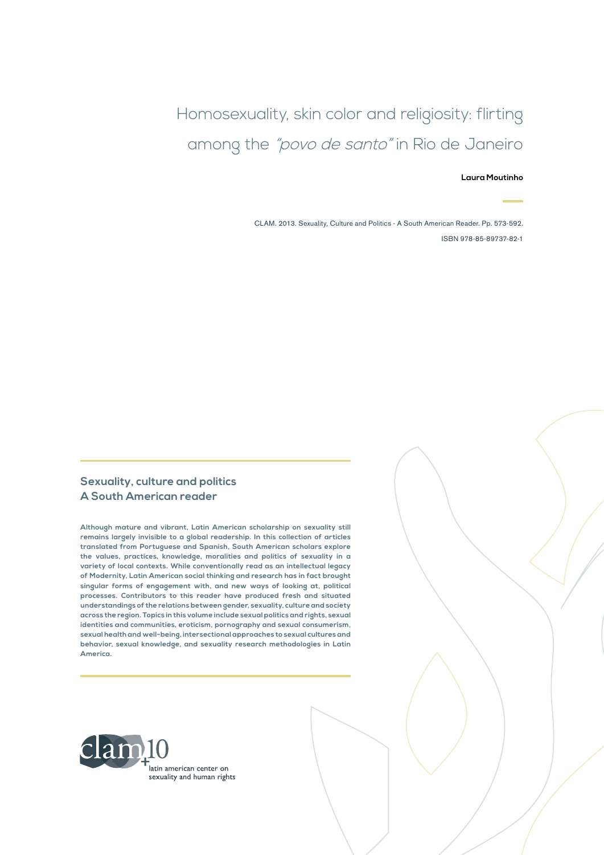Homosexuality, skin color and religiosity: flirting among the "povo de santo" in Rio de Janeiro

**Laura Moutinho** 

CLAM. 2013. Sexuality, Culture and Politics - A South American Reader. Pp. 573-592. ISBN 978-85-89737-82-1

#### **Sexuality, culture and politics A South American reader**

**Although mature and vibrant, Latin American scholarship on sexuality still remains largely invisible to a global readership. In this collection of articles translated from Portuguese and Spanish, South American scholars explore the values, practices, knowledge, moralities and politics of sexuality in a variety of local contexts. While conventionally read as an intellectual legacy of Modernity, Latin American social thinking and research has in fact brought singular forms of engagement with, and new ways of looking at, political processes. Contributors to this reader have produced fresh and situated understandings of the relations between gender, sexuality, culture and society across the region. Topics in this volume include sexual politics and rights, sexual identities and communities, eroticism, pornography and sexual consumerism, sexual health and well-being, intersectional approaches to sexual cultures and behavior, sexual knowledge, and sexuality research methodologies in Latin America.**

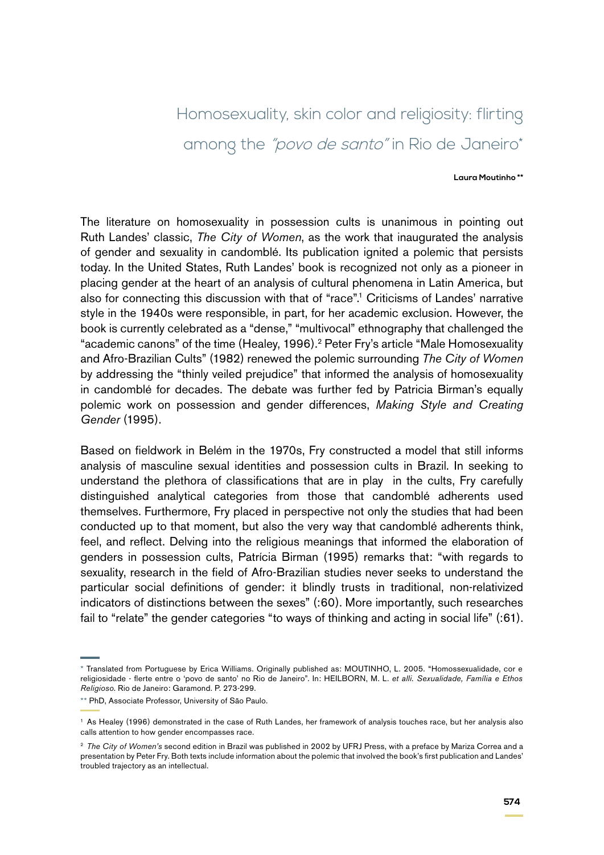# Homosexuality, skin color and religiosity: flirting among the "povo de santo" in Rio de Janeiro\*

#### **Laura Moutinho \*\***

The literature on homosexuality in possession cults is unanimous in pointing out Ruth Landes' classic, *The City of Women*, as the work that inaugurated the analysis of gender and sexuality in candomblé. Its publication ignited a polemic that persists today. In the United States, Ruth Landes' book is recognized not only as a pioneer in placing gender at the heart of an analysis of cultural phenomena in Latin America, but also for connecting this discussion with that of "race".1 Criticisms of Landes' narrative style in the 1940s were responsible, in part, for her academic exclusion. However, the book is currently celebrated as a "dense," "multivocal" ethnography that challenged the "academic canons" of the time (Healey, 1996).2 Peter Fry's article "Male Homosexuality and Afro-Brazilian Cults" (1982) renewed the polemic surrounding *The City of Women* by addressing the "thinly veiled prejudice" that informed the analysis of homosexuality in candomblé for decades. The debate was further fed by Patricia Birman's equally polemic work on possession and gender differences, *Making Style and Creating Gender* (1995).

Based on fieldwork in Belém in the 1970s, Fry constructed a model that still informs analysis of masculine sexual identities and possession cults in Brazil. In seeking to understand the plethora of classifications that are in play in the cults, Fry carefully distinguished analytical categories from those that candomblé adherents used themselves. Furthermore, Fry placed in perspective not only the studies that had been conducted up to that moment, but also the very way that candomblé adherents think, feel, and reflect. Delving into the religious meanings that informed the elaboration of genders in possession cults, Patrícia Birman (1995) remarks that: "with regards to sexuality, research in the field of Afro-Brazilian studies never seeks to understand the particular social definitions of gender: it blindly trusts in traditional, non-relativized indicators of distinctions between the sexes" (:60). More importantly, such researches fail to "relate" the gender categories "to ways of thinking and acting in social life" (:61).

<sup>\*</sup> Translated from Portuguese by Erica Williams. Originally published as: MOUTINHO, L. 2005. "Homossexualidade, cor e religiosidade - flerte entre o 'povo de santo' no Rio de Janeiro". In: HEILBORN, M. L. *et alli. Sexualidade, Família e Ethos Religioso*. Rio de Janeiro: Garamond. P. 273-299.

<sup>\*\*</sup> PhD, Associate Professor, University of São Paulo.

<sup>1</sup> As Healey (1996) demonstrated in the case of Ruth Landes, her framework of analysis touches race, but her analysis also calls attention to how gender encompasses race.

<sup>2</sup> *The City of Women's* second edition in Brazil was published in 2002 by UFRJ Press, with a preface by Mariza Correa and a presentation by Peter Fry. Both texts include information about the polemic that involved the book's first publication and Landes' troubled trajectory as an intellectual.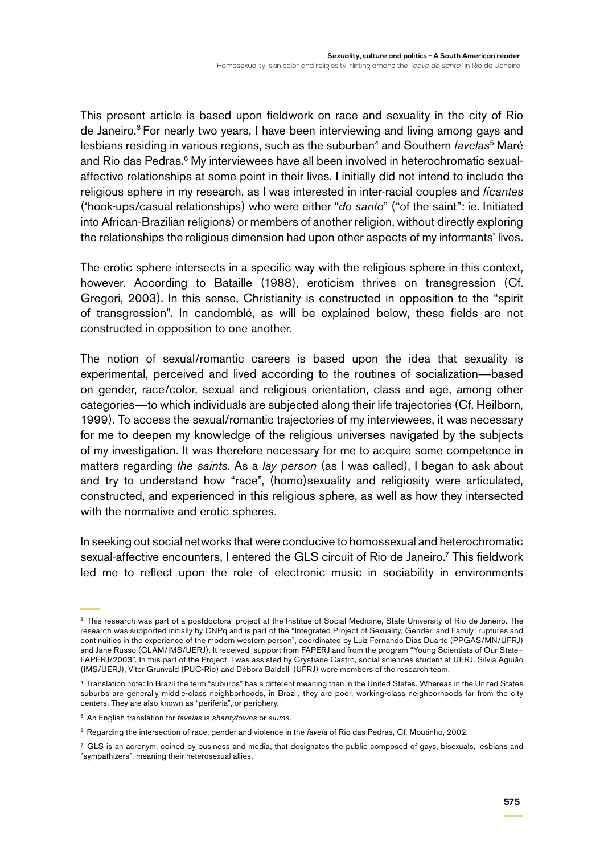This present article is based upon fieldwork on race and sexuality in the city of Rio de Janeiro.<sup>3</sup> For nearly two years, I have been interviewing and living among gays and lesbians residing in various regions, such as the suburban<sup>4</sup> and Southern *favelas*<sup>5</sup> Maré and Rio das Pedras.<sup>6</sup> My interviewees have all been involved in heterochromatic sexualaffective relationships at some point in their lives. I initially did not intend to include the religious sphere in my research, as I was interested in inter-racial couples and *ficantes*  ('hook-ups*/*casual relationships) who were either "*do santo*" ("of the saint": ie. Initiated into African-Brazilian religions) or members of another religion, without directly exploring the relationships the religious dimension had upon other aspects of my informants' lives.

The erotic sphere intersects in a specific way with the religious sphere in this context, however. According to Bataille (1988), eroticism thrives on transgression (Cf. Gregori, 2003). In this sense, Christianity is constructed in opposition to the "spirit of transgression". In candomblé, as will be explained below, these fields are not constructed in opposition to one another.

The notion of sexual/romantic careers is based upon the idea that sexuality is experimental, perceived and lived according to the routines of socialization—based on gender, race/color, sexual and religious orientation, class and age, among other categories—to which individuals are subjected along their life trajectories (Cf. Heilborn, 1999). To access the sexual/romantic trajectories of my interviewees, it was necessary for me to deepen my knowledge of the religious universes navigated by the subjects of my investigation. It was therefore necessary for me to acquire some competence in matters regarding *the saints*. As a *lay person* (as I was called), I began to ask about and try to understand how "race", (homo)sexuality and religiosity were articulated, constructed, and experienced in this religious sphere, as well as how they intersected with the normative and erotic spheres.

In seeking out social networks that were conducive to homossexual and heterochromatic sexual-affective encounters, I entered the GLS circuit of Rio de Janeiro.<sup>7</sup> This fieldwork led me to reflect upon the role of electronic music in sociability in environments

<sup>&</sup>lt;sup>3</sup> This research was part of a postdoctoral project at the Institue of Social Medicine, State University of Rio de Janeiro. The research was supported initially by CNPq and is part of the "Integrated Project of Sexuality, Gender, and Family: ruptures and continuities in the experience of the modern western person", coordinated by Luiz Fernando Dias Duarte (PPGAS/MN/UFRJ) and Jane Russo (CLAM/IMS/UERJ). It received support from FAPERJ and from the program "Young Scientists of Our State– FAPERJ/2003". In this part of the Project, I was assisted by Crystiane Castro, social sciences student at UERJ. Silvia Aguião (IMS/UERJ), Vítor Grunvald (PUC-Rio) and Débora Baldelli (UFRJ) were members of the research team.

<sup>4</sup> Translation note: In Brazil the term "suburbs" has a different meaning than in the United States. Whereas in the United States suburbs are generally middle-class neighborhoods, in Brazil, they are poor, working-class neighborhoods far from the city centers. They are also known as "periferia", or periphery.

<sup>5</sup> An English translation for *favelas* is *shantytowns* or *slums*.

<sup>6</sup> Regarding the intersection of race, gender and violence in the *favela* of Rio das Pedras, Cf. Moutinho, 2002.

 $7$  GLS is an acronym, coined by business and media, that designates the public composed of gays, bisexuals, lesbians and "sympathizers", meaning their heterosexual allies.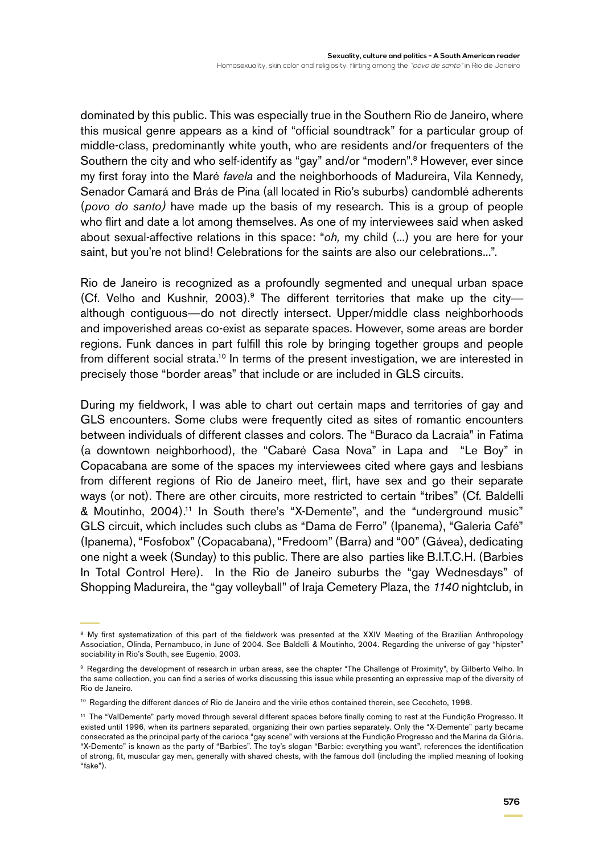dominated by this public. This was especially true in the Southern Rio de Janeiro, where this musical genre appears as a kind of "official soundtrack" for a particular group of middle-class, predominantly white youth, who are residents and/or frequenters of the Southern the city and who self-identify as "gay" and/or "modern".<sup>8</sup> However, ever since my first foray into the Maré *favela* and the neighborhoods of Madureira, Vila Kennedy, Senador Camará and Brás de Pina (all located in Rio's suburbs) candomblé adherents (*povo do santo)* have made up the basis of my research*.* This is a group of people who flirt and date a lot among themselves. As one of my interviewees said when asked about sexual-affective relations in this space: "*oh,* my child (...) you are here for your saint, but you're not blind! Celebrations for the saints are also our celebrations...".

Rio de Janeiro is recognized as a profoundly segmented and unequal urban space (Cf. Velho and Kushnir, 2003).<sup>9</sup> The different territories that make up the cityalthough contiguous—do not directly intersect. Upper/middle class neighborhoods and impoverished areas co-exist as separate spaces. However, some areas are border regions. Funk dances in part fulfill this role by bringing together groups and people from different social strata.<sup>10</sup> In terms of the present investigation, we are interested in precisely those "border areas" that include or are included in GLS circuits.

During my fieldwork, I was able to chart out certain maps and territories of gay and GLS encounters. Some clubs were frequently cited as sites of romantic encounters between individuals of different classes and colors. The "Buraco da Lacraia" in Fatima (a downtown neighborhood), the "Cabaré Casa Nova" in Lapa and "Le Boy" in Copacabana are some of the spaces my interviewees cited where gays and lesbians from different regions of Rio de Janeiro meet, flirt, have sex and go their separate ways (or not). There are other circuits, more restricted to certain "tribes" (Cf. Baldelli & Moutinho, 2004).11 In South there's "X-Demente", and the "underground music" GLS circuit, which includes such clubs as "Dama de Ferro" (Ipanema), "Galeria Café" (Ipanema), "Fosfobox" (Copacabana), "Fredoom" (Barra) and "00" (Gávea), dedicating one night a week (Sunday) to this public. There are also parties like B.I.T.C.H. (Barbies In Total Control Here). In the Rio de Janeiro suburbs the "gay Wednesdays" of Shopping Madureira, the "gay volleyball" of Iraja Cemetery Plaza, the *1140* nightclub, in

<sup>&</sup>lt;sup>8</sup> My first systematization of this part of the fieldwork was presented at the XXIV Meeting of the Brazilian Anthropology Association, Olinda, Pernambuco, in June of 2004. See Baldelli & Moutinho, 2004. Regarding the universe of gay "hipster" sociability in Rio's South, see Eugenio, 2003.

<sup>9</sup> Regarding the development of research in urban areas, see the chapter "The Challenge of Proximity", by Gilberto Velho. In the same collection, you can find a series of works discussing this issue while presenting an expressive map of the diversity of Rio de Janeiro.

<sup>10</sup> Regarding the different dances of Rio de Janeiro and the virile ethos contained therein, see Ceccheto, 1998.

<sup>11</sup> The "ValDemente" party moved through several different spaces before finally coming to rest at the Fundição Progresso. It existed until 1996, when its partners separated, organizing their own parties separately. Only the "X-Demente" party became consecrated as the principal party of the carioca "gay scene" with versions at the Fundição Progresso and the Marina da Glória. "X-Demente" is known as the party of "Barbies". The toy's slogan "Barbie: everything you want", references the identification of strong, fit, muscular gay men, generally with shaved chests, with the famous doll (including the implied meaning of looking "fake").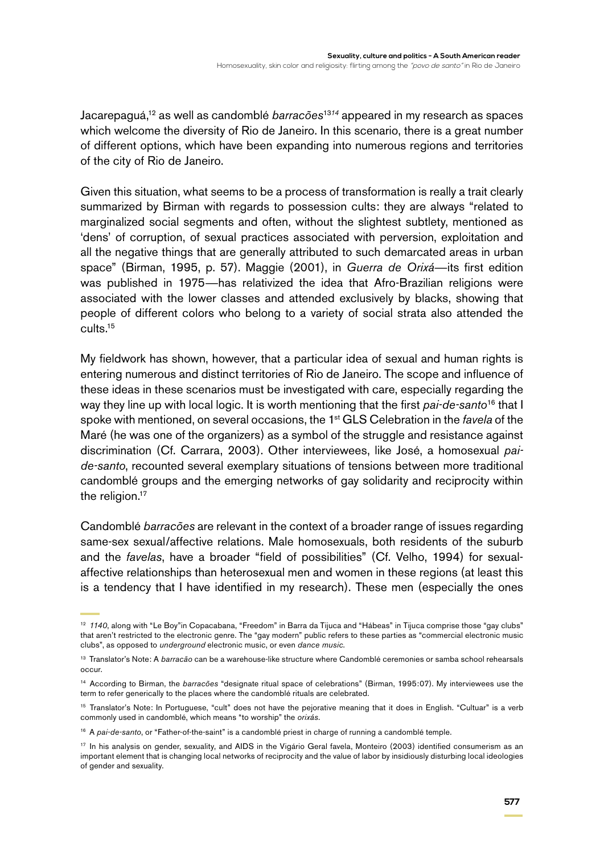Jacarepaguá,12 as well as candomblé *barracões*<sup>13</sup>*<sup>14</sup>* appeared in my research as spaces which welcome the diversity of Rio de Janeiro. In this scenario, there is a great number of different options, which have been expanding into numerous regions and territories of the city of Rio de Janeiro.

Given this situation, what seems to be a process of transformation is really a trait clearly summarized by Birman with regards to possession cults: they are always "related to marginalized social segments and often, without the slightest subtlety, mentioned as 'dens' of corruption, of sexual practices associated with perversion, exploitation and all the negative things that are generally attributed to such demarcated areas in urban space" (Birman, 1995, p. 57). Maggie (2001), in *Guerra de Orixá*—its first edition was published in 1975—has relativized the idea that Afro-Brazilian religions were associated with the lower classes and attended exclusively by blacks, showing that people of different colors who belong to a variety of social strata also attended the cults.15

My fieldwork has shown, however, that a particular idea of sexual and human rights is entering numerous and distinct territories of Rio de Janeiro. The scope and influence of these ideas in these scenarios must be investigated with care, especially regarding the way they line up with local logic. It is worth mentioning that the first *pai-de-santo*16 that I spoke with mentioned, on several occasions, the 1st GLS Celebration in the *favela* of the Maré (he was one of the organizers) as a symbol of the struggle and resistance against discrimination (Cf. Carrara, 2003). Other interviewees, like José, a homosexual *paide-santo*, recounted several exemplary situations of tensions between more traditional candomblé groups and the emerging networks of gay solidarity and reciprocity within the religion.<sup>17</sup>

Candomblé *barracões* are relevant in the context of a broader range of issues regarding same-sex sexual/affective relations. Male homosexuals, both residents of the suburb and the *favelas*, have a broader "field of possibilities" (Cf. Velho, 1994) for sexualaffective relationships than heterosexual men and women in these regions (at least this is a tendency that I have identified in my research). These men (especially the ones

<sup>&</sup>lt;sup>12</sup> 1140, along with "Le Boy"in Copacabana, "Freedom" in Barra da Tijuca and "Hábeas" in Tijuca comprise those "gay clubs" that aren't restricted to the electronic genre. The "gay modern" public refers to these parties as "commercial electronic music clubs", as opposed to *underground* electronic music, or even *dance music*.

<sup>13</sup> Translator's Note: A *barracão* can be a warehouse-like structure where Candomblé ceremonies or samba school rehearsals occur.

<sup>14</sup> According to Birman, the *barracões* "designate ritual space of celebrations" (Birman, 1995:07). My interviewees use the term to refer generically to the places where the candomblé rituals are celebrated.

<sup>15</sup> Translator's Note: In Portuguese, "cult" does not have the pejorative meaning that it does in English. "Cultuar" is a verb commonly used in candomblé, which means "to worship" the *orixás*.

<sup>&</sup>lt;sup>16</sup> A *pai-de-santo*, or "Father-of-the-saint" is a candomblé priest in charge of running a candomblé temple.

<sup>17</sup> In his analysis on gender, sexuality, and AIDS in the Vigário Geral favela, Monteiro (2003) identified consumerism as an important element that is changing local networks of reciprocity and the value of labor by insidiously disturbing local ideologies of gender and sexuality.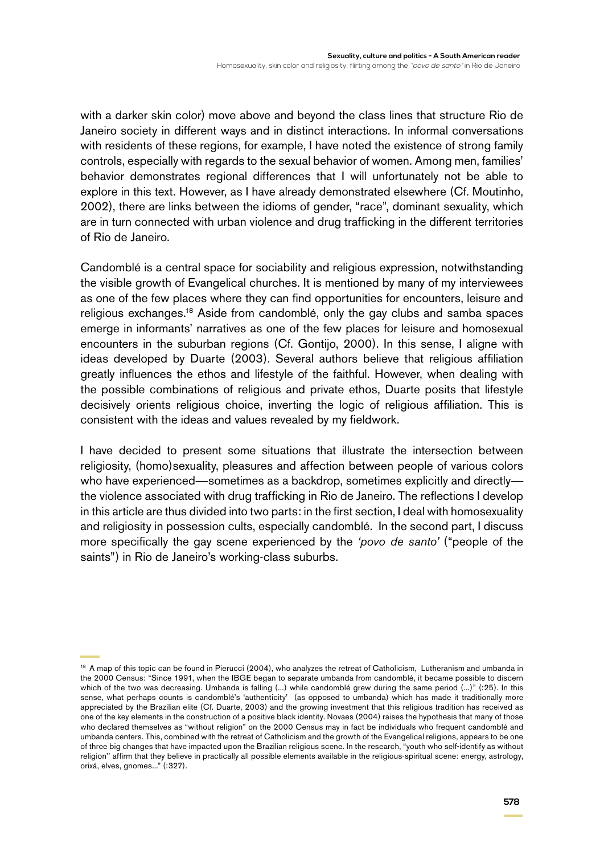with a darker skin color) move above and beyond the class lines that structure Rio de Janeiro society in different ways and in distinct interactions. In informal conversations with residents of these regions, for example, I have noted the existence of strong family controls, especially with regards to the sexual behavior of women. Among men, families' behavior demonstrates regional differences that I will unfortunately not be able to explore in this text. However, as I have already demonstrated elsewhere (Cf. Moutinho, 2002), there are links between the idioms of gender, "race", dominant sexuality, which are in turn connected with urban violence and drug trafficking in the different territories of Rio de Janeiro.

Candomblé is a central space for sociability and religious expression, notwithstanding the visible growth of Evangelical churches. It is mentioned by many of my interviewees as one of the few places where they can find opportunities for encounters, leisure and religious exchanges.18 Aside from candomblé, only the gay clubs and samba spaces emerge in informants' narratives as one of the few places for leisure and homosexual encounters in the suburban regions (Cf. Gontijo, 2000). In this sense, I aligne with ideas developed by Duarte (2003). Several authors believe that religious affiliation greatly influences the ethos and lifestyle of the faithful. However, when dealing with the possible combinations of religious and private ethos, Duarte posits that lifestyle decisively orients religious choice, inverting the logic of religious affiliation. This is consistent with the ideas and values revealed by my fieldwork.

I have decided to present some situations that illustrate the intersection between religiosity, (homo)sexuality, pleasures and affection between people of various colors who have experienced—sometimes as a backdrop, sometimes explicitly and directly the violence associated with drug trafficking in Rio de Janeiro. The reflections I develop in this article are thus divided into two parts: in the first section, I deal with homosexuality and religiosity in possession cults, especially candomblé. In the second part, I discuss more specifically the gay scene experienced by the *'povo de santo'* ("people of the saints") in Rio de Janeiro's working-class suburbs.

<sup>&</sup>lt;sup>18</sup> A map of this topic can be found in Pierucci (2004), who analyzes the retreat of Catholicism, Lutheranism and umbanda in the 2000 Census: "Since 1991, when the IBGE began to separate umbanda from candomblé, it became possible to discern which of the two was decreasing. Umbanda is falling (...) while candomblé grew during the same period (...)" (:25). In this sense, what perhaps counts is candomblé's 'authenticity' (as opposed to umbanda) which has made it traditionally more appreciated by the Brazilian elite (Cf. Duarte, 2003) and the growing investment that this religious tradition has received as one of the key elements in the construction of a positive black identity. Novaes (2004) raises the hypothesis that many of those who declared themselves as "without religion" on the 2000 Census may in fact be individuals who frequent candomblé and umbanda centers. This, combined with the retreat of Catholicism and the growth of the Evangelical religions, appears to be one of three big changes that have impacted upon the Brazilian religious scene. In the research, "youth who self-identify as without religion'' affirm that they believe in practically all possible elements available in the religious-spiritual scene: energy, astrology, orixá, elves, gnomes..." (:327).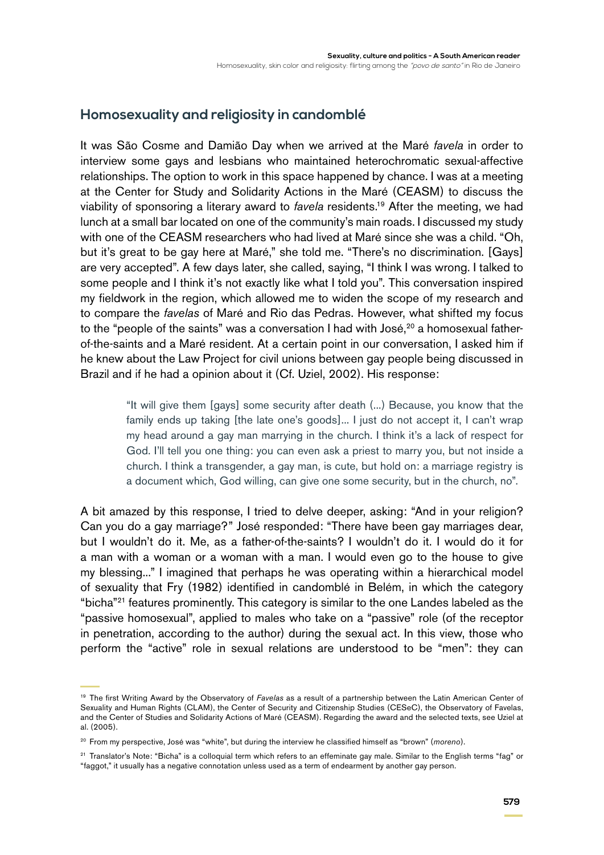# **Homosexuality and religiosity in candomblé**

It was São Cosme and Damião Day when we arrived at the Maré *favela* in order to interview some gays and lesbians who maintained heterochromatic sexual-affective relationships. The option to work in this space happened by chance. I was at a meeting at the Center for Study and Solidarity Actions in the Maré (CEASM) to discuss the viability of sponsoring a literary award to *favela* residents.19 After the meeting, we had lunch at a small bar located on one of the community's main roads. I discussed my study with one of the CEASM researchers who had lived at Maré since she was a child. "Oh, but it's great to be gay here at Maré," she told me. "There's no discrimination. [Gays] are very accepted". A few days later, she called, saying, "I think I was wrong. I talked to some people and I think it's not exactly like what I told you". This conversation inspired my fieldwork in the region, which allowed me to widen the scope of my research and to compare the *favelas* of Maré and Rio das Pedras. However, what shifted my focus to the "people of the saints" was a conversation I had with José, $20$  a homosexual fatherof-the-saints and a Maré resident. At a certain point in our conversation, I asked him if he knew about the Law Project for civil unions between gay people being discussed in Brazil and if he had a opinion about it (Cf. Uziel, 2002). His response:

"It will give them [gays] some security after death (...) Because, you know that the family ends up taking [the late one's goods]... I just do not accept it, I can't wrap my head around a gay man marrying in the church. I think it's a lack of respect for God. I'll tell you one thing: you can even ask a priest to marry you, but not inside a church. I think a transgender, a gay man, is cute, but hold on: a marriage registry is a document which, God willing, can give one some security, but in the church, no".

A bit amazed by this response, I tried to delve deeper, asking: "And in your religion? Can you do a gay marriage?" José responded: "There have been gay marriages dear, but I wouldn't do it. Me, as a father-of-the-saints? I wouldn't do it. I would do it for a man with a woman or a woman with a man. I would even go to the house to give my blessing..." I imagined that perhaps he was operating within a hierarchical model of sexuality that Fry (1982) identified in candomblé in Belém, in which the category "bicha"21 features prominently. This category is similar to the one Landes labeled as the "passive homosexual", applied to males who take on a "passive" role (of the receptor in penetration, according to the author) during the sexual act. In this view, those who perform the "active" role in sexual relations are understood to be "men": they can

<sup>19</sup> The first Writing Award by the Observatory of *Favelas* as a result of a partnership between the Latin American Center of Sexuality and Human Rights (CLAM), the Center of Security and Citizenship Studies (CESeC), the Observatory of Favelas, and the Center of Studies and Solidarity Actions of Maré (CEASM). Regarding the award and the selected texts, see Uziel at al. (2005).

<sup>20</sup> From my perspective, José was "white", but during the interview he classified himself as "brown" (*moreno*).

<sup>&</sup>lt;sup>21</sup> Translator's Note: "Bicha" is a colloquial term which refers to an effeminate gay male. Similar to the English terms "fag" or "faggot," it usually has a negative connotation unless used as a term of endearment by another gay person.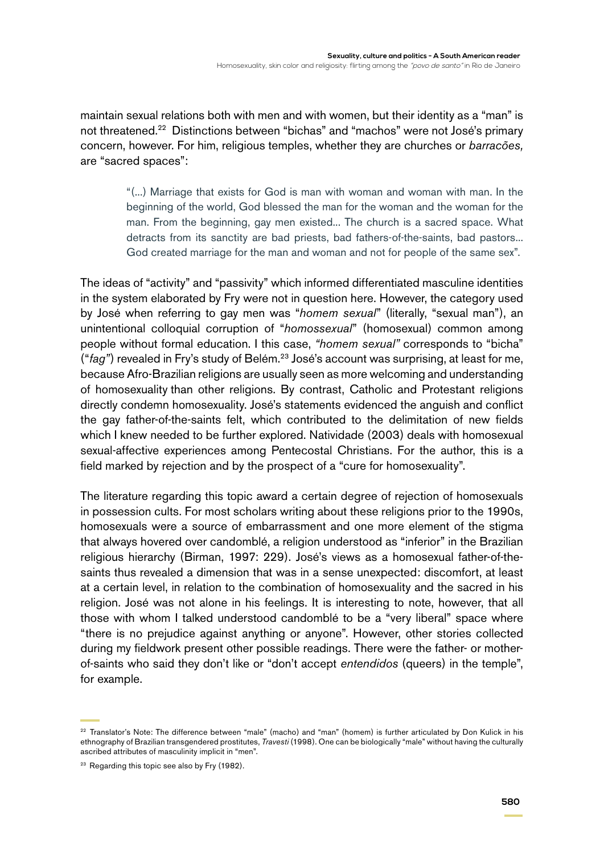maintain sexual relations both with men and with women, but their identity as a "man" is not threatened.22 Distinctions between "bichas" and "machos" were not José's primary concern, however. For him, religious temples, whether they are churches or *barracões,*  are "sacred spaces":

> "(...) Marriage that exists for God is man with woman and woman with man. In the beginning of the world, God blessed the man for the woman and the woman for the man. From the beginning, gay men existed... The church is a sacred space. What detracts from its sanctity are bad priests, bad fathers-of-the-saints, bad pastors... God created marriage for the man and woman and not for people of the same sex".

The ideas of "activity" and "passivity" which informed differentiated masculine identities in the system elaborated by Fry were not in question here. However, the category used by José when referring to gay men was "*homem sexual*" (literally, "sexual man"), an unintentional colloquial corruption of "*homossexual*" (homosexual) common among people without formal education. I this case, *"homem sexual"* corresponds to "bicha" ("*fag"*) revealed in Fry's study of Belém.23 José's account was surprising, at least for me, because Afro-Brazilian religions are usually seen as more welcoming and understanding of homosexuality than other religions. By contrast, Catholic and Protestant religions directly condemn homosexuality. José's statements evidenced the anguish and conflict the gay father-of-the-saints felt, which contributed to the delimitation of new fields which I knew needed to be further explored. Natividade (2003) deals with homosexual sexual-affective experiences among Pentecostal Christians. For the author, this is a field marked by rejection and by the prospect of a "cure for homosexuality".

The literature regarding this topic award a certain degree of rejection of homosexuals in possession cults. For most scholars writing about these religions prior to the 1990s, homosexuals were a source of embarrassment and one more element of the stigma that always hovered over candomblé, a religion understood as "inferior" in the Brazilian religious hierarchy (Birman, 1997: 229). José's views as a homosexual father-of-thesaints thus revealed a dimension that was in a sense unexpected: discomfort, at least at a certain level, in relation to the combination of homosexuality and the sacred in his religion. José was not alone in his feelings. It is interesting to note, however, that all those with whom I talked understood candomblé to be a "very liberal" space where "there is no prejudice against anything or anyone". However, other stories collected during my fieldwork present other possible readings. There were the father- or motherof-saints who said they don't like or "don't accept *entendidos* (queers) in the temple", for example.

<sup>&</sup>lt;sup>22</sup> Translator's Note: The difference between "male" (macho) and "man" (homem) is further articulated by Don Kulick in his ethnography of Brazilian transgendered prostitutes, *Travesti* (1998). One can be biologically "male" without having the culturally ascribed attributes of masculinity implicit in "men".

<sup>&</sup>lt;sup>23</sup> Regarding this topic see also by Fry (1982).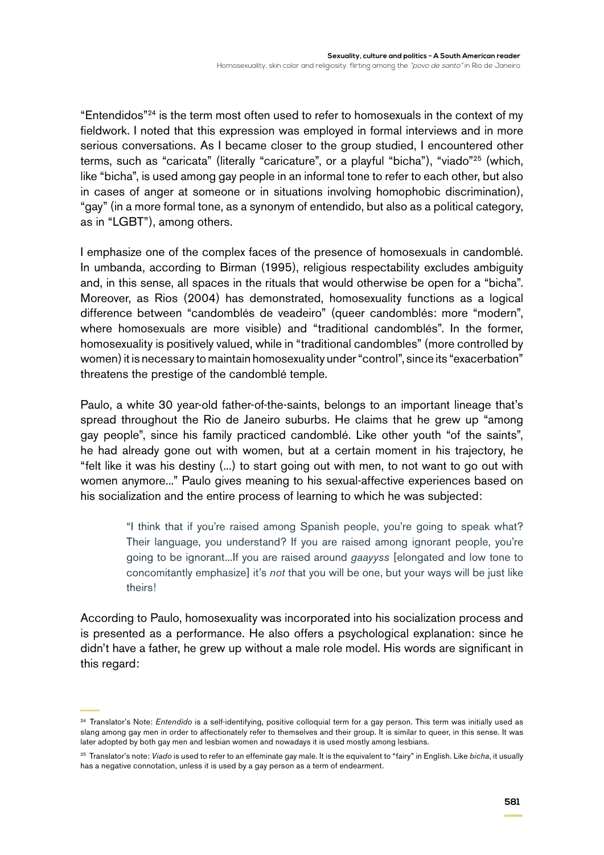"Entendidos"24 is the term most often used to refer to homosexuals in the context of my fieldwork. I noted that this expression was employed in formal interviews and in more serious conversations. As I became closer to the group studied, I encountered other terms, such as "caricata" (literally "caricature", or a playful "bicha"), "viado"25 (which, like "bicha", is used among gay people in an informal tone to refer to each other, but also in cases of anger at someone or in situations involving homophobic discrimination), "gay" (in a more formal tone, as a synonym of entendido, but also as a political category, as in "LGBT"), among others.

I emphasize one of the complex faces of the presence of homosexuals in candomblé. In umbanda, according to Birman (1995), religious respectability excludes ambiguity and, in this sense, all spaces in the rituals that would otherwise be open for a "bicha". Moreover, as Rios (2004) has demonstrated, homosexuality functions as a logical difference between "candomblés de veadeiro" (queer candomblés: more "modern", where homosexuals are more visible) and "traditional candomblés". In the former, homosexuality is positively valued, while in "traditional candombles" (more controlled by women) it is necessary to maintain homosexuality under "control", since its "exacerbation" threatens the prestige of the candomblé temple.

Paulo, a white 30 year-old father-of-the-saints, belongs to an important lineage that's spread throughout the Rio de Janeiro suburbs. He claims that he grew up "among gay people", since his family practiced candomblé. Like other youth "of the saints", he had already gone out with women, but at a certain moment in his trajectory, he "felt like it was his destiny (...) to start going out with men, to not want to go out with women anymore..." Paulo gives meaning to his sexual-affective experiences based on his socialization and the entire process of learning to which he was subjected:

> "I think that if you're raised among Spanish people, you're going to speak what? Their language, you understand? If you are raised among ignorant people, you're going to be ignorant...If you are raised around *gaayyss* [elongated and low tone to concomitantly emphasize] it's *not* that you will be one, but your ways will be just like theirs!

According to Paulo, homosexuality was incorporated into his socialization process and is presented as a performance. He also offers a psychological explanation: since he didn't have a father, he grew up without a male role model. His words are significant in this regard:

<sup>24</sup> Translator's Note: *Entendido* is a self-identifying, positive colloquial term for a gay person. This term was initially used as slang among gay men in order to affectionately refer to themselves and their group. It is similar to queer, in this sense. It was later adopted by both gay men and lesbian women and nowadays it is used mostly among lesbians.

<sup>25</sup> Translator's note: *Viado* is used to refer to an effeminate gay male. It is the equivalent to "fairy" in English. Like *bicha*, it usually has a negative connotation, unless it is used by a gay person as a term of endearment.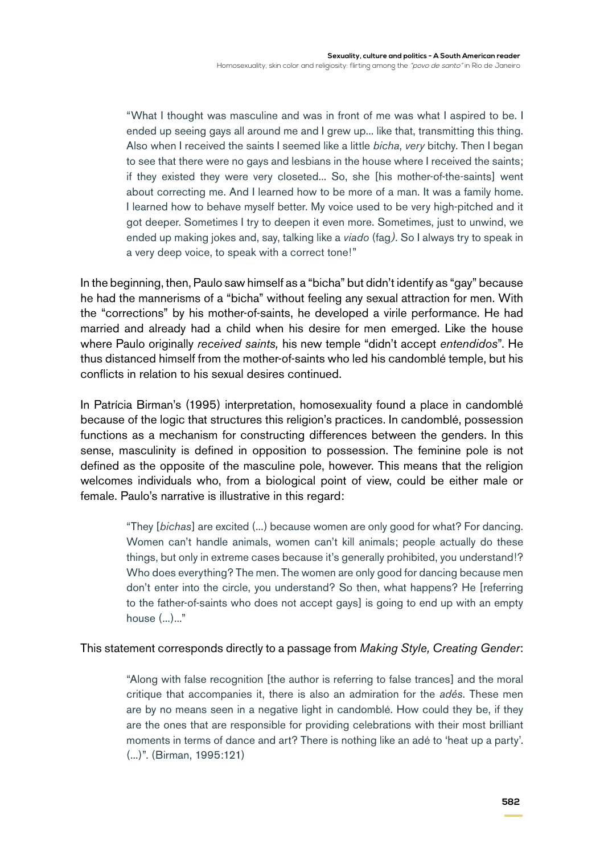"What I thought was masculine and was in front of me was what I aspired to be. I ended up seeing gays all around me and I grew up... like that, transmitting this thing. Also when I received the saints I seemed like a little *bicha*, *very* bitchy. Then I began to see that there were no gays and lesbians in the house where I received the saints; if they existed they were very closeted... So, she [his mother-of-the-saints] went about correcting me. And I learned how to be more of a man. It was a family home. I learned how to behave myself better. My voice used to be very high-pitched and it got deeper. Sometimes I try to deepen it even more. Sometimes, just to unwind, we ended up making jokes and, say, talking like a *viado* (fag*).* So I always try to speak in a very deep voice, to speak with a correct tone!"

In the beginning, then, Paulo saw himself as a "bicha" but didn't identify as "gay" because he had the mannerisms of a "bicha" without feeling any sexual attraction for men. With the "corrections" by his mother-of-saints, he developed a virile performance. He had married and already had a child when his desire for men emerged. Like the house where Paulo originally *received saints,* his new temple "didn't accept *entendidos*". He thus distanced himself from the mother-of-saints who led his candomblé temple, but his conflicts in relation to his sexual desires continued.

In Patrícia Birman's (1995) interpretation, homosexuality found a place in candomblé because of the logic that structures this religion's practices. In candomblé, possession functions as a mechanism for constructing differences between the genders. In this sense, masculinity is defined in opposition to possession. The feminine pole is not defined as the opposite of the masculine pole, however. This means that the religion welcomes individuals who, from a biological point of view, could be either male or female. Paulo's narrative is illustrative in this regard:

> "They [*bichas*] are excited (...) because women are only good for what? For dancing. Women can't handle animals, women can't kill animals; people actually do these things, but only in extreme cases because it's generally prohibited, you understand!? Who does everything? The men. The women are only good for dancing because men don't enter into the circle, you understand? So then, what happens? He [referring to the father-of-saints who does not accept gays] is going to end up with an empty house (...)..."

#### This statement corresponds directly to a passage from *Making Style, Creating Gender*:

"Along with false recognition [the author is referring to false trances] and the moral critique that accompanies it, there is also an admiration for the *adés*. These men are by no means seen in a negative light in candomblé. How could they be, if they are the ones that are responsible for providing celebrations with their most brilliant moments in terms of dance and art? There is nothing like an adé to 'heat up a party'. (...)". (Birman, 1995:121)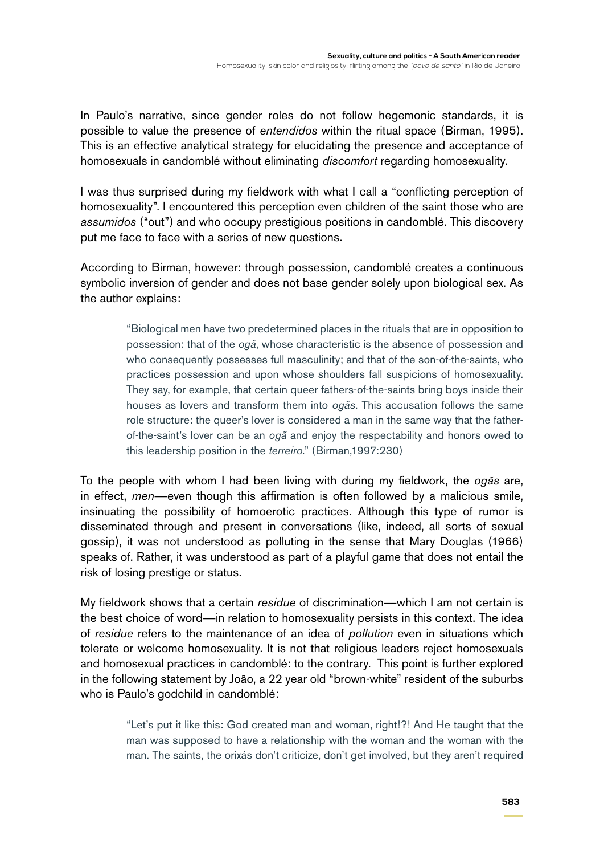In Paulo's narrative, since gender roles do not follow hegemonic standards, it is possible to value the presence of *entendidos* within the ritual space (Birman, 1995). This is an effective analytical strategy for elucidating the presence and acceptance of homosexuals in candomblé without eliminating *discomfort* regarding homosexuality.

I was thus surprised during my fieldwork with what I call a "conflicting perception of homosexuality". I encountered this perception even children of the saint those who are *assumidos* ("out") and who occupy prestigious positions in candomblé. This discovery put me face to face with a series of new questions.

According to Birman, however: through possession, candomblé creates a continuous symbolic inversion of gender and does not base gender solely upon biological sex. As the author explains:

> "Biological men have two predetermined places in the rituals that are in opposition to possession: that of the *ogã*, whose characteristic is the absence of possession and who consequently possesses full masculinity; and that of the son-of-the-saints, who practices possession and upon whose shoulders fall suspicions of homosexuality. They say, for example, that certain queer fathers-of-the-saints bring boys inside their houses as lovers and transform them into *ogãs*. This accusation follows the same role structure: the queer's lover is considered a man in the same way that the fatherof-the-saint's lover can be an *ogã* and enjoy the respectability and honors owed to this leadership position in the *terreiro*." (Birman,1997:230)

To the people with whom I had been living with during my fieldwork, the *ogãs* are, in effect, *men*—even though this affirmation is often followed by a malicious smile, insinuating the possibility of homoerotic practices. Although this type of rumor is disseminated through and present in conversations (like, indeed, all sorts of sexual gossip), it was not understood as polluting in the sense that Mary Douglas (1966) speaks of. Rather, it was understood as part of a playful game that does not entail the risk of losing prestige or status.

My fieldwork shows that a certain *residue* of discrimination—which I am not certain is the best choice of word—in relation to homosexuality persists in this context. The idea of *residue* refers to the maintenance of an idea of *pollution* even in situations which tolerate or welcome homosexuality. It is not that religious leaders reject homosexuals and homosexual practices in candomblé: to the contrary. This point is further explored in the following statement by João, a 22 year old "brown-white" resident of the suburbs who is Paulo's godchild in candomblé:

"Let's put it like this: God created man and woman, right!?! And He taught that the man was supposed to have a relationship with the woman and the woman with the man. The saints, the orixás don't criticize, don't get involved, but they aren't required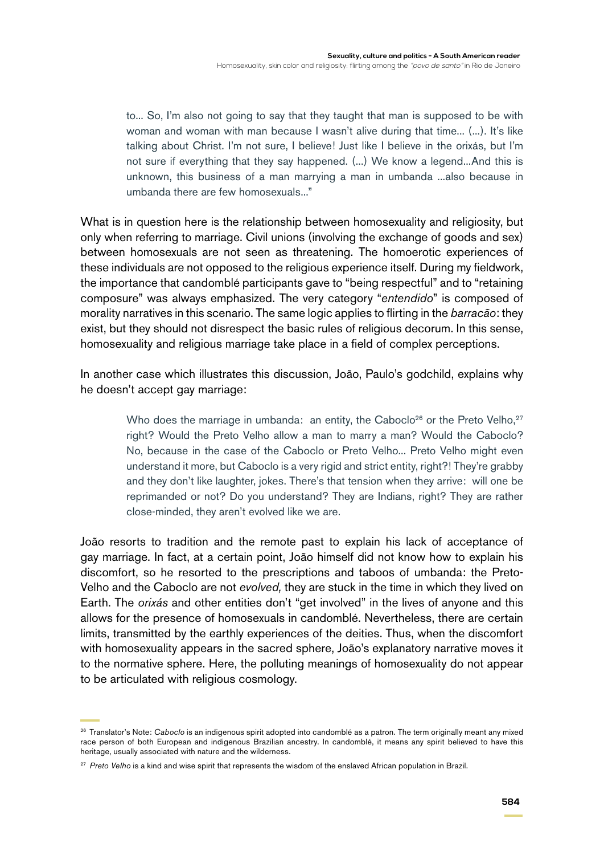to... So, I'm also not going to say that they taught that man is supposed to be with woman and woman with man because I wasn't alive during that time... (...). It's like talking about Christ. I'm not sure, I believe! Just like I believe in the orixás, but I'm not sure if everything that they say happened. (...) We know a legend...And this is unknown, this business of a man marrying a man in umbanda ...also because in umbanda there are few homosexuals..."

What is in question here is the relationship between homosexuality and religiosity, but only when referring to marriage. Civil unions (involving the exchange of goods and sex) between homosexuals are not seen as threatening. The homoerotic experiences of these individuals are not opposed to the religious experience itself. During my fieldwork, the importance that candomblé participants gave to "being respectful" and to "retaining composure" was always emphasized. The very category "*entendido*" is composed of morality narratives in this scenario. The same logic applies to flirting in the *barracão*: they exist, but they should not disrespect the basic rules of religious decorum. In this sense, homosexuality and religious marriage take place in a field of complex perceptions.

In another case which illustrates this discussion, João, Paulo's godchild, explains why he doesn't accept gay marriage:

> Who does the marriage in umbanda: an entity, the Caboclo<sup>26</sup> or the Preto Velho,<sup>27</sup> right? Would the Preto Velho allow a man to marry a man? Would the Caboclo? No, because in the case of the Caboclo or Preto Velho... Preto Velho might even understand it more, but Caboclo is a very rigid and strict entity, right?! They're grabby and they don't like laughter, jokes. There's that tension when they arrive: will one be reprimanded or not? Do you understand? They are Indians, right? They are rather close-minded, they aren't evolved like we are.

João resorts to tradition and the remote past to explain his lack of acceptance of gay marriage. In fact, at a certain point, João himself did not know how to explain his discomfort, so he resorted to the prescriptions and taboos of umbanda: the Preto-Velho and the Caboclo are not *evolved,* they are stuck in the time in which they lived on Earth. The *orixás* and other entities don't "get involved" in the lives of anyone and this allows for the presence of homosexuals in candomblé. Nevertheless, there are certain limits, transmitted by the earthly experiences of the deities. Thus, when the discomfort with homosexuality appears in the sacred sphere, João's explanatory narrative moves it to the normative sphere. Here, the polluting meanings of homosexuality do not appear to be articulated with religious cosmology.

<sup>26</sup> Translator's Note: *Caboclo* is an indigenous spirit adopted into candomblé as a patron. The term originally meant any mixed race person of both European and indigenous Brazilian ancestry. In candomblé, it means any spirit believed to have this heritage, usually associated with nature and the wilderness.

<sup>&</sup>lt;sup>27</sup> Preto Velho is a kind and wise spirit that represents the wisdom of the enslaved African population in Brazil.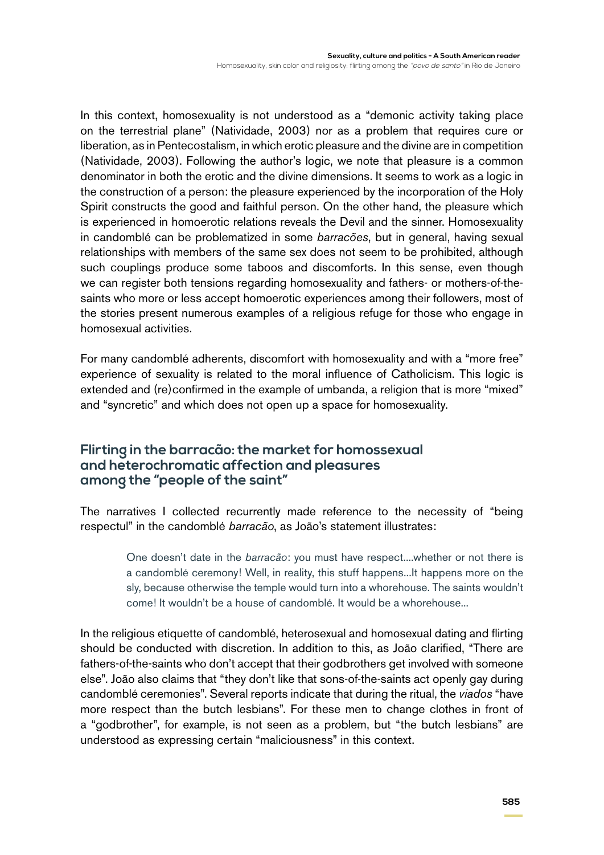In this context, homosexuality is not understood as a "demonic activity taking place on the terrestrial plane" (Natividade, 2003) nor as a problem that requires cure or liberation, as in Pentecostalism, in which erotic pleasure and the divine are in competition (Natividade, 2003). Following the author's logic, we note that pleasure is a common denominator in both the erotic and the divine dimensions. It seems to work as a logic in the construction of a person: the pleasure experienced by the incorporation of the Holy Spirit constructs the good and faithful person. On the other hand, the pleasure which is experienced in homoerotic relations reveals the Devil and the sinner. Homosexuality in candomblé can be problematized in some *barracões*, but in general, having sexual relationships with members of the same sex does not seem to be prohibited, although such couplings produce some taboos and discomforts. In this sense, even though we can register both tensions regarding homosexuality and fathers- or mothers-of-thesaints who more or less accept homoerotic experiences among their followers, most of the stories present numerous examples of a religious refuge for those who engage in homosexual activities.

For many candomblé adherents, discomfort with homosexuality and with a "more free" experience of sexuality is related to the moral influence of Catholicism. This logic is extended and (re)confirmed in the example of umbanda, a religion that is more "mixed" and "syncretic" and which does not open up a space for homosexuality.

## **Flirting in the barracão: the market for homossexual and heterochromatic affection and pleasures among the "people of the saint"**

The narratives I collected recurrently made reference to the necessity of "being respectul" in the candomblé *barracão*, as João's statement illustrates:

> One doesn't date in the *barracão*: you must have respect....whether or not there is a candomblé ceremony! Well, in reality, this stuff happens...It happens more on the sly, because otherwise the temple would turn into a whorehouse. The saints wouldn't come! It wouldn't be a house of candomblé. It would be a whorehouse...

In the religious etiquette of candomblé, heterosexual and homosexual dating and flirting should be conducted with discretion. In addition to this, as João clarified, "There are fathers-of-the-saints who don't accept that their godbrothers get involved with someone else". João also claims that "they don't like that sons-of-the-saints act openly gay during candomblé ceremonies". Several reports indicate that during the ritual, the *viados* "have more respect than the butch lesbians". For these men to change clothes in front of a "godbrother", for example, is not seen as a problem, but "the butch lesbians" are understood as expressing certain "maliciousness" in this context.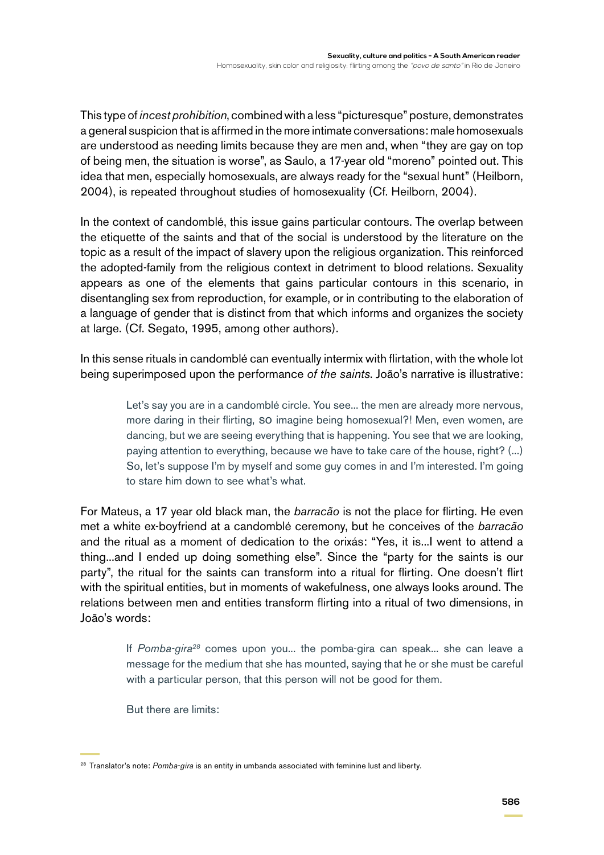This type of *incest prohibition*, combined with a less "picturesque" posture, demonstrates a general suspicion that is affirmed in the more intimate conversations: male homosexuals are understood as needing limits because they are men and, when "they are gay on top of being men, the situation is worse", as Saulo, a 17-year old "moreno" pointed out. This idea that men, especially homosexuals, are always ready for the "sexual hunt" (Heilborn, 2004), is repeated throughout studies of homosexuality (Cf. Heilborn, 2004).

In the context of candomblé, this issue gains particular contours. The overlap between the etiquette of the saints and that of the social is understood by the literature on the topic as a result of the impact of slavery upon the religious organization. This reinforced the adopted-family from the religious context in detriment to blood relations. Sexuality appears as one of the elements that gains particular contours in this scenario, in disentangling sex from reproduction, for example, or in contributing to the elaboration of a language of gender that is distinct from that which informs and organizes the society at large. (Cf. Segato, 1995, among other authors).

In this sense rituals in candomblé can eventually intermix with flirtation, with the whole lot being superimposed upon the performance *of the saints*. João's narrative is illustrative:

> Let's say you are in a candomblé circle. You see... the men are already more nervous, more daring in their flirting, so imagine being homosexual?! Men, even women, are dancing, but we are seeing everything that is happening. You see that we are looking, paying attention to everything, because we have to take care of the house, right? (...) So, let's suppose I'm by myself and some guy comes in and I'm interested. I'm going to stare him down to see what's what.

For Mateus, a 17 year old black man, the *barracão* is not the place for flirting. He even met a white ex-boyfriend at a candomblé ceremony, but he conceives of the *barracão* and the ritual as a moment of dedication to the orixás: "Yes, it is...I went to attend a thing...and I ended up doing something else". Since the "party for the saints is our party", the ritual for the saints can transform into a ritual for flirting. One doesn't flirt with the spiritual entities, but in moments of wakefulness, one always looks around. The relations between men and entities transform flirting into a ritual of two dimensions, in João's words:

> If *Pomba-gira28* comes upon you... the pomba-gira can speak... she can leave a message for the medium that she has mounted, saying that he or she must be careful with a particular person, that this person will not be good for them.

But there are limits:

<sup>28</sup> Translator's note: *Pomba-gira* is an entity in umbanda associated with feminine lust and liberty.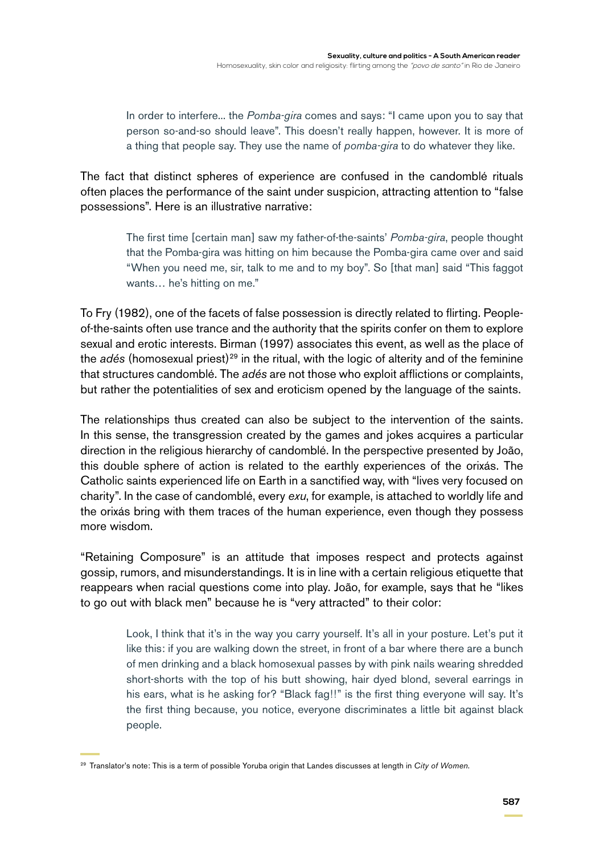In order to interfere... the *Pomba-gira* comes and says: "I came upon you to say that person so-and-so should leave". This doesn't really happen, however. It is more of a thing that people say. They use the name of *pomba-gira* to do whatever they like.

The fact that distinct spheres of experience are confused in the candomblé rituals often places the performance of the saint under suspicion, attracting attention to "false possessions". Here is an illustrative narrative:

> The first time [certain man] saw my father-of-the-saints' *Pomba-gira*, people thought that the Pomba-gira was hitting on him because the Pomba-gira came over and said "When you need me, sir, talk to me and to my boy". So [that man] said "This faggot wants… he's hitting on me."

To Fry (1982), one of the facets of false possession is directly related to flirting. Peopleof-the-saints often use trance and the authority that the spirits confer on them to explore sexual and erotic interests. Birman (1997) associates this event, as well as the place of the *adés* (homosexual priest)<sup>29</sup> in the ritual, with the logic of alterity and of the feminine that structures candomblé. The *adés* are not those who exploit afflictions or complaints, but rather the potentialities of sex and eroticism opened by the language of the saints.

The relationships thus created can also be subject to the intervention of the saints. In this sense, the transgression created by the games and jokes acquires a particular direction in the religious hierarchy of candomblé. In the perspective presented by João, this double sphere of action is related to the earthly experiences of the orixás. The Catholic saints experienced life on Earth in a sanctified way, with "lives very focused on charity". In the case of candomblé, every *exu*, for example, is attached to worldly life and the orixás bring with them traces of the human experience, even though they possess more wisdom.

"Retaining Composure" is an attitude that imposes respect and protects against gossip, rumors, and misunderstandings. It is in line with a certain religious etiquette that reappears when racial questions come into play. João, for example, says that he "likes to go out with black men" because he is "very attracted" to their color:

> Look, I think that it's in the way you carry yourself. It's all in your posture. Let's put it like this: if you are walking down the street, in front of a bar where there are a bunch of men drinking and a black homosexual passes by with pink nails wearing shredded short-shorts with the top of his butt showing, hair dyed blond, several earrings in his ears, what is he asking for? "Black fag!!" is the first thing everyone will say. It's the first thing because, you notice, everyone discriminates a little bit against black people.

<sup>29</sup> Translator's note: This is a term of possible Yoruba origin that Landes discusses at length in *City of Women*.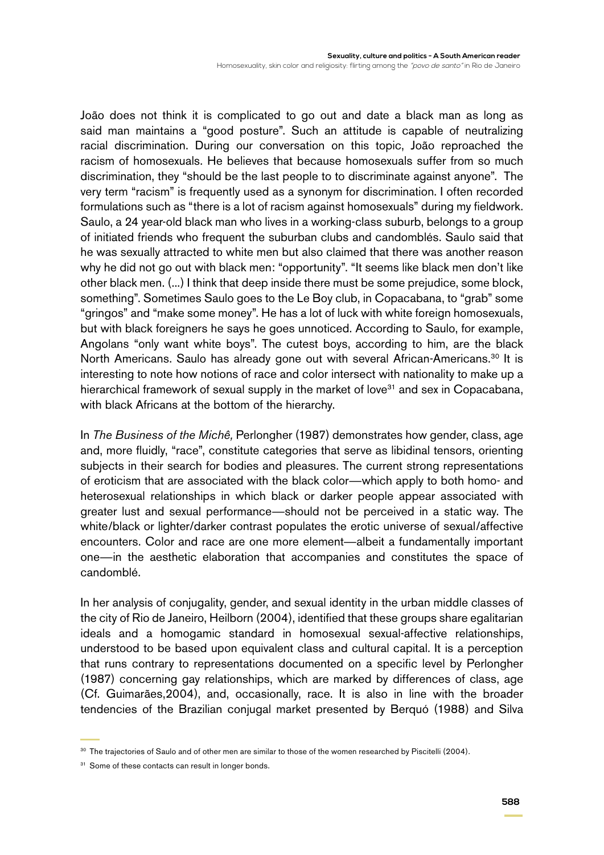João does not think it is complicated to go out and date a black man as long as said man maintains a "good posture". Such an attitude is capable of neutralizing racial discrimination. During our conversation on this topic, João reproached the racism of homosexuals. He believes that because homosexuals suffer from so much discrimination, they "should be the last people to to discriminate against anyone". The very term "racism" is frequently used as a synonym for discrimination. I often recorded formulations such as "there is a lot of racism against homosexuals" during my fieldwork. Saulo, a 24 year-old black man who lives in a working-class suburb, belongs to a group of initiated friends who frequent the suburban clubs and candomblés. Saulo said that he was sexually attracted to white men but also claimed that there was another reason why he did not go out with black men: "opportunity". "It seems like black men don't like other black men. (...) I think that deep inside there must be some prejudice, some block, something". Sometimes Saulo goes to the Le Boy club, in Copacabana, to "grab" some "gringos" and "make some money". He has a lot of luck with white foreign homosexuals, but with black foreigners he says he goes unnoticed. According to Saulo, for example, Angolans "only want white boys". The cutest boys, according to him, are the black North Americans. Saulo has already gone out with several African-Americans.<sup>30</sup> It is interesting to note how notions of race and color intersect with nationality to make up a hierarchical framework of sexual supply in the market of love<sup>31</sup> and sex in Copacabana, with black Africans at the bottom of the hierarchy.

In *The Business of the Michê,* Perlongher (1987) demonstrates how gender, class, age and, more fluidly, "race", constitute categories that serve as libidinal tensors, orienting subjects in their search for bodies and pleasures. The current strong representations of eroticism that are associated with the black color—which apply to both homo- and heterosexual relationships in which black or darker people appear associated with greater lust and sexual performance—should not be perceived in a static way. The white/black or lighter/darker contrast populates the erotic universe of sexual/affective encounters. Color and race are one more element—albeit a fundamentally important one—in the aesthetic elaboration that accompanies and constitutes the space of candomblé.

In her analysis of conjugality, gender, and sexual identity in the urban middle classes of the city of Rio de Janeiro, Heilborn (2004), identified that these groups share egalitarian ideals and a homogamic standard in homosexual sexual-affective relationships, understood to be based upon equivalent class and cultural capital. It is a perception that runs contrary to representations documented on a specific level by Perlongher (1987) concerning gay relationships, which are marked by differences of class, age (Cf. Guimarães,2004), and, occasionally, race. It is also in line with the broader tendencies of the Brazilian conjugal market presented by Berquó (1988) and Silva

<sup>&</sup>lt;sup>30</sup> The trajectories of Saulo and of other men are similar to those of the women researched by Piscitelli (2004).

<sup>&</sup>lt;sup>31</sup> Some of these contacts can result in longer bonds.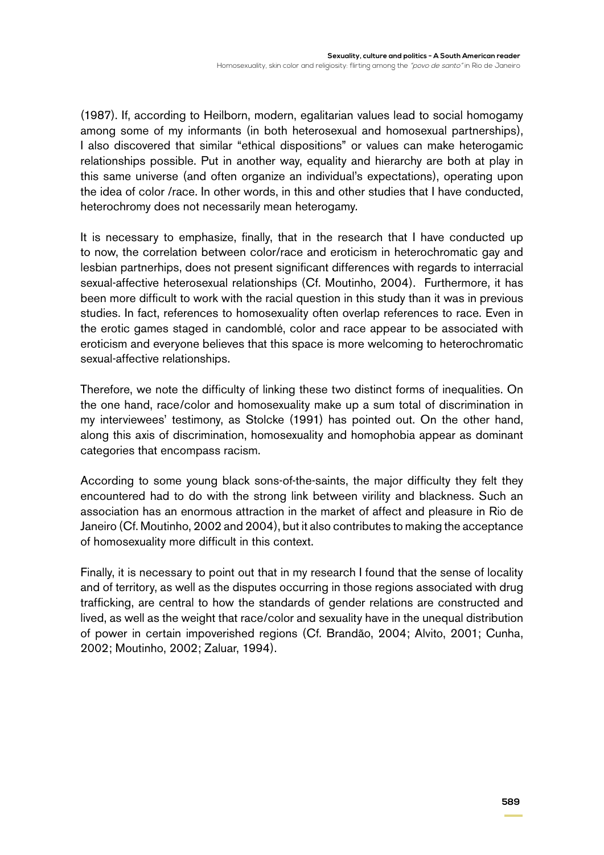(1987). If, according to Heilborn, modern, egalitarian values lead to social homogamy among some of my informants (in both heterosexual and homosexual partnerships), I also discovered that similar "ethical dispositions" or values can make heterogamic relationships possible. Put in another way, equality and hierarchy are both at play in this same universe (and often organize an individual's expectations), operating upon the idea of color /race. In other words, in this and other studies that I have conducted, heterochromy does not necessarily mean heterogamy.

It is necessary to emphasize, finally, that in the research that I have conducted up to now, the correlation between color/race and eroticism in heterochromatic gay and lesbian partnerhips, does not present significant differences with regards to interracial sexual-affective heterosexual relationships (Cf. Moutinho, 2004). Furthermore, it has been more difficult to work with the racial question in this study than it was in previous studies. In fact, references to homosexuality often overlap references to race. Even in the erotic games staged in candomblé, color and race appear to be associated with eroticism and everyone believes that this space is more welcoming to heterochromatic sexual-affective relationships.

Therefore, we note the difficulty of linking these two distinct forms of inequalities. On the one hand, race/color and homosexuality make up a sum total of discrimination in my interviewees' testimony, as Stolcke (1991) has pointed out. On the other hand, along this axis of discrimination, homosexuality and homophobia appear as dominant categories that encompass racism.

According to some young black sons-of-the-saints, the major difficulty they felt they encountered had to do with the strong link between virility and blackness. Such an association has an enormous attraction in the market of affect and pleasure in Rio de Janeiro (Cf. Moutinho, 2002 and 2004), but it also contributes to making the acceptance of homosexuality more difficult in this context.

Finally, it is necessary to point out that in my research I found that the sense of locality and of territory, as well as the disputes occurring in those regions associated with drug trafficking, are central to how the standards of gender relations are constructed and lived, as well as the weight that race/color and sexuality have in the unequal distribution of power in certain impoverished regions (Cf. Brandão, 2004; Alvito, 2001; Cunha, 2002; Moutinho, 2002; Zaluar, 1994).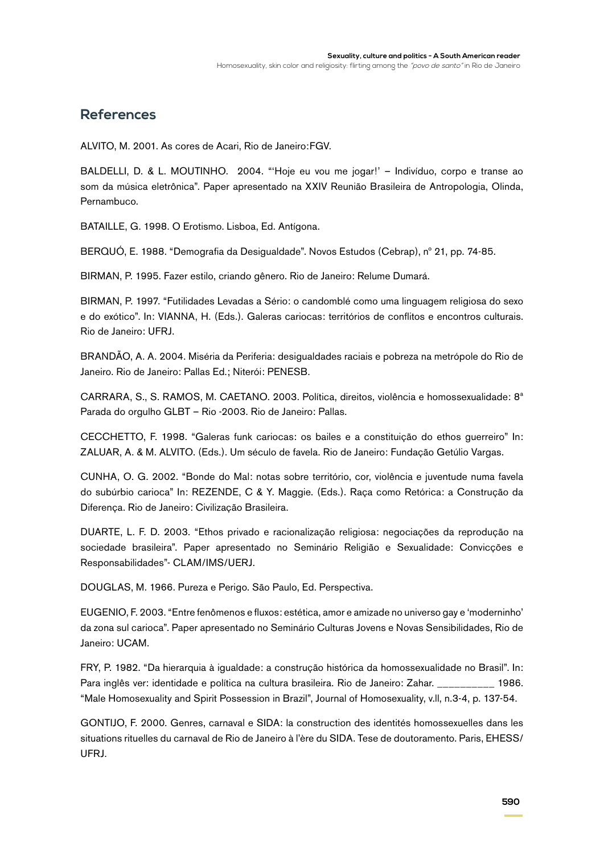## **References**

ALVITO, M. 2001. As cores de Acari, Rio de Janeiro:FGV.

BALDELLI, D. & L. MOUTINHO. 2004. "'Hoje eu vou me jogar!' – Indivíduo, corpo e transe ao som da música eletrônica". Paper apresentado na XXIV Reunião Brasileira de Antropologia, Olinda, Pernambuco.

BATAILLE, G. 1998. O Erotismo. Lisboa, Ed. Antígona.

BERQUÓ, E. 1988. "Demografia da Desigualdade". Novos Estudos (Cebrap), nº 21, pp. 74-85.

BIRMAN, P. 1995. Fazer estilo, criando gênero. Rio de Janeiro: Relume Dumará.

BIRMAN, P. 1997. "Futilidades Levadas a Sério: o candomblé como uma linguagem religiosa do sexo e do exótico". In: VIANNA, H. (Eds.). Galeras cariocas: territórios de conflitos e encontros culturais. Rio de Janeiro: UFRJ.

BRANDÃO, A. A. 2004. Miséria da Periferia: desigualdades raciais e pobreza na metrópole do Rio de Janeiro. Rio de Janeiro: Pallas Ed.; Niterói: PENESB.

CARRARA, S., S. RAMOS, M. CAETANO. 2003. Política, direitos, violência e homossexualidade: 8ª Parada do orgulho GLBT – Rio -2003. Rio de Janeiro: Pallas.

CECCHETTO, F. 1998. "Galeras funk cariocas: os bailes e a constituição do ethos guerreiro" In: ZALUAR, A. & M. ALVITO. (Eds.). Um século de favela. Rio de Janeiro: Fundação Getúlio Vargas.

CUNHA, O. G. 2002. "Bonde do Mal: notas sobre território, cor, violência e juventude numa favela do subúrbio carioca" In: REZENDE, C & Y. Maggie. (Eds.). Raça como Retórica: a Construção da Diferença. Rio de Janeiro: Civilização Brasileira.

DUARTE, L. F. D. 2003. "Ethos privado e racionalização religiosa: negociações da reprodução na sociedade brasileira". Paper apresentado no Seminário Religião e Sexualidade: Convicções e Responsabilidades"- CLAM/IMS/UERJ.

DOUGLAS, M. 1966. Pureza e Perigo. São Paulo, Ed. Perspectiva.

EUGENIO, F. 2003. "Entre fenômenos e fluxos: estética, amor e amizade no universo gay e 'moderninho' da zona sul carioca". Paper apresentado no Seminário Culturas Jovens e Novas Sensibilidades, Rio de Janeiro: UCAM.

FRY, P. 1982. "Da hierarquia à igualdade: a construção histórica da homossexualidade no Brasil". In: Para inglês ver: identidade e política na cultura brasileira. Rio de Janeiro: Zahar. \_\_\_\_\_\_\_\_\_\_ 1986. "Male Homosexuality and Spirit Possession in Brazil", Journal of Homosexuality, v.ll, n.3-4, p. 137-54.

GONTIJO, F. 2000. Genres, carnaval e SIDA: la construction des identités homossexuelles dans les situations rituelles du carnaval de Rio de Janeiro à l'ère du SIDA. Tese de doutoramento. Paris, EHESS/ UFRJ.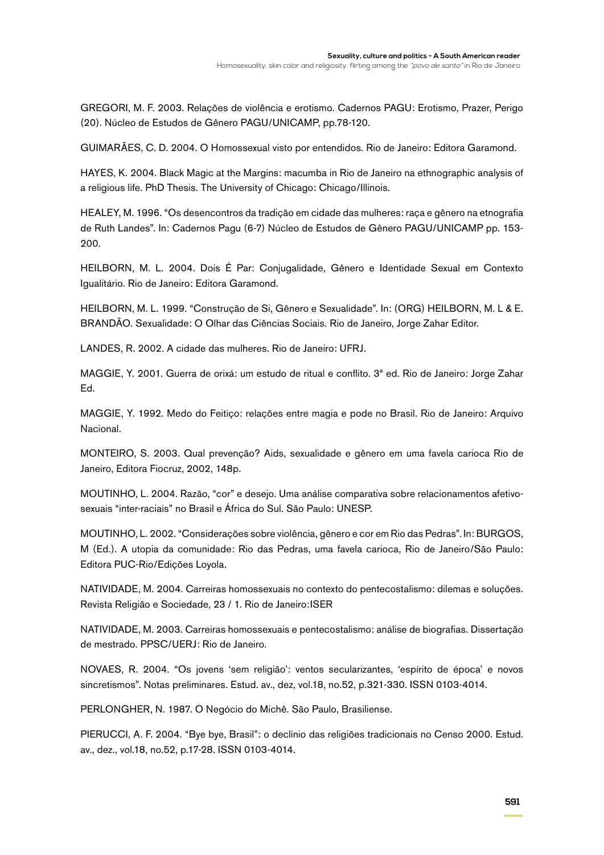GREGORI, M. F. 2003. Relações de violência e erotismo. Cadernos PAGU: Erotismo, Prazer, Perigo (20). Núcleo de Estudos de Gênero PAGU/UNICAMP, pp.78-120.

GUIMARÃES, C. D. 2004. O Homossexual visto por entendidos. Rio de Janeiro: Editora Garamond.

HAYES, K. 2004. Black Magic at the Margins: macumba in Rio de Janeiro na ethnographic analysis of a religious life. PhD Thesis. The University of Chicago: Chicago/Illinois.

HEALEY, M. 1996. "Os desencontros da tradição em cidade das mulheres: raça e gênero na etnografia de Ruth Landes". In: Cadernos Pagu (6-7) Núcleo de Estudos de Gênero PAGU/UNICAMP pp. 153- 200.

HEILBORN, M. L. 2004. Dois É Par: Conjugalidade, Gênero e Identidade Sexual em Contexto Igualitário. Rio de Janeiro: Editora Garamond.

HEILBORN, M. L. 1999. "Construção de Si, Gênero e Sexualidade". In: (ORG) HEILBORN, M. L & E. BRANDÃO. Sexualidade: O Olhar das Ciências Sociais. Rio de Janeiro, Jorge Zahar Editor.

LANDES, R. 2002. A cidade das mulheres. Rio de Janeiro: UFRJ.

MAGGIE, Y. 2001. Guerra de orixá: um estudo de ritual e conflito. 3ª ed. Rio de Janeiro: Jorge Zahar Ed.

MAGGIE, Y. 1992. Medo do Feitiço: relações entre magia e pode no Brasil. Rio de Janeiro: Arquivo Nacional.

MONTEIRO, S. 2003. Qual prevenção? Aids, sexualidade e gênero em uma favela carioca Rio de Janeiro, Editora Fiocruz, 2002, 148p.

MOUTINHO, L. 2004. Razão, "cor" e desejo. Uma análise comparativa sobre relacionamentos afetivosexuais "inter-raciais" no Brasil e África do Sul. São Paulo: UNESP.

MOUTINHO, L. 2002. "Considerações sobre violência, gênero e cor em Rio das Pedras". In: Burgos, M (Ed.). A utopia da comunidade: Rio das Pedras, uma favela carioca, Rio de Janeiro/São Paulo: Editora PUC-Rio/Edições Loyola.

NATIVIDADE, M. 2004. Carreiras homossexuais no contexto do pentecostalismo: dilemas e soluções. Revista Religião e Sociedade, 23 / 1. Rio de Janeiro:ISER

NATIVIDADE, M. 2003. Carreiras homossexuais e pentecostalismo: análise de biografias. Dissertação de mestrado. PPSC/UERJ: Rio de Janeiro.

NOVAES, R. 2004. "Os jovens 'sem religião': ventos secularizantes, 'espírito de época' e novos sincretismos". Notas preliminares. Estud. av., dez, vol.18, no.52, p.321-330. ISSN 0103-4014.

PERLONGHER, N. 1987. O Negócio do Michê. São Paulo, Brasiliense.

PIERUCCI, A. F. 2004. "Bye bye, Brasil": o declínio das religiões tradicionais no Censo 2000. Estud. av., dez., vol.18, no.52, p.17-28. ISSN 0103-4014.